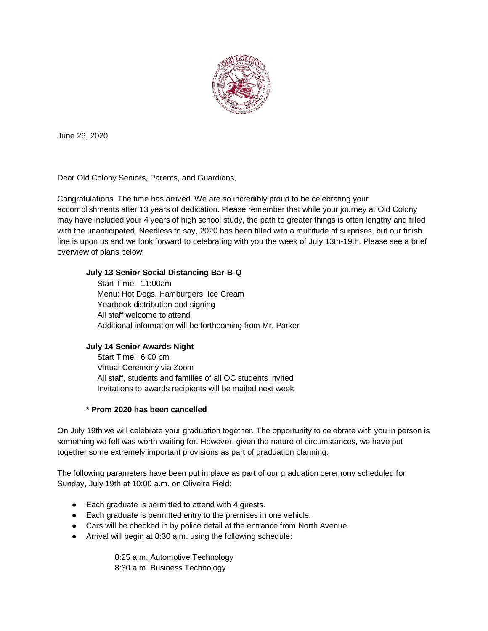

June 26, 2020

Dear Old Colony Seniors, Parents, and Guardians,

Congratulations! The time has arrived. We are so incredibly proud to be celebrating your accomplishments after 13 years of dedication. Please remember that while your journey at Old Colony may have included your 4 years of high school study, the path to greater things is often lengthy and filled with the unanticipated. Needless to say, 2020 has been filled with a multitude of surprises, but our finish line is upon us and we look forward to celebrating with you the week of July 13th-19th. Please see a brief overview of plans below:

## **July 13 Senior Social Distancing Bar-B-Q**

 Start Time: 11:00am Menu: Hot Dogs, Hamburgers, Ice Cream Yearbook distribution and signing All staff welcome to attend Additional information will be forthcoming from Mr. Parker

## **July 14 Senior Awards Night**

 Start Time: 6:00 pm Virtual Ceremony via Zoom All staff, students and families of all OC students invited Invitations to awards recipients will be mailed next week

## **\* Prom 2020 has been cancelled**

On July 19th we will celebrate your graduation together. The opportunity to celebrate with you in person is something we felt was worth waiting for. However, given the nature of circumstances, we have put together some extremely important provisions as part of graduation planning.

The following parameters have been put in place as part of our graduation ceremony scheduled for Sunday, July 19th at 10:00 a.m. on Oliveira Field:

- Each graduate is permitted to attend with 4 guests.
- Each graduate is permitted entry to the premises in one vehicle.
- Cars will be checked in by police detail at the entrance from North Avenue.
- Arrival will begin at 8:30 a.m. using the following schedule:

8:25 a.m. Automotive Technology 8:30 a.m. Business Technology